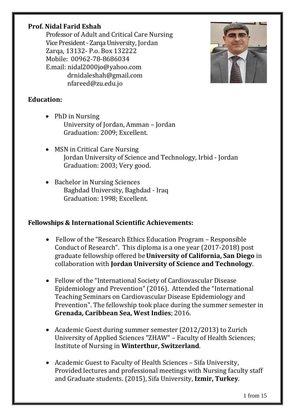## **Prof. Nidal Farid Eshah**

Professor of Adult and Critical Care Nursing Vice President - Zarqa University, Jordan Zarqa, 13132- P.o. Box 132222 Mobile: 00962-78-8686034 E.mail: [nidal2000jo@yahoo.com](mailto:nidal2000jo@yahoo.com) drnidaleshah@gmail.com nfareed@zu.edu.jo



# **Education:**

- PhD in Nursing University of Jordan, Amman – Jordan Graduation: 2009; Excellent.
- MSN in Critical Care Nursing Jordan University of Science and Technology, Irbid - Jordan Graduation: 2003; Very good.
- Bachelor in Nursing Sciences Baghdad University, Baghdad - Iraq Graduation: 1998; Excellent.

# **Fellowships & International Scientific Achievements:**

- Fellow of the "Research Ethics Education Program Responsible Conduct of Research". This diploma is a one year (2017-2018) post graduate fellowship offered be**University of California, San Diego** in collaboration with **Jordan University of Science and Technology**.
- Fellow of the "International Society of Cardiovascular Disease Epidemiology and Prevention" (2016). Attended the "International Teaching Seminars on Cardiovascular Disease Epidemiology and Prevention". The fellowship took place during the summer semester in **Grenada, Caribbean Sea, West Indies**; 2016.
- Academic Guest during summer semester (2012/2013) to Zurich University of Applied Sciences "ZHAW" – Faculty of Health Sciences; Institute of Nursing in **Winterthur, Switzerland**.
- Academic Guest to Faculty of Health Sciences Sifa University, Provided lectures and professional meetings with Nursing faculty staff and Graduate students. (2015), Sifa University, **Izmir, Turkey**.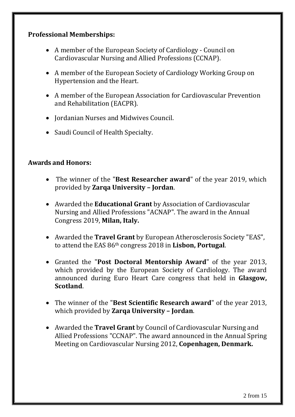### **Professional Memberships:**

- A member of the European Society of Cardiology Council on Cardiovascular Nursing and Allied Professions (CCNAP).
- A member of the European Society of Cardiology Working Group on Hypertension and the Heart.
- A member of the European Association for Cardiovascular Prevention and Rehabilitation (EACPR).
- Iordanian Nurses and Midwives Council.
- Saudi Council of Health Specialty.

### **Awards and Honors:**

- The winner of the "**Best Researcher award**" of the year 2019, which provided by **Zarqa University – Jordan**.
- Awarded the **Educational Grant** by Association of Cardiovascular Nursing and Allied Professions "ACNAP". The award in the Annual Congress 2019, **Milan, Italy.**
- Awarded the **Travel Grant** by European Atherosclerosis Society "EAS", to attend the EAS 86th congress 2018 in **Lisbon, Portugal**.
- Granted the "**Post Doctoral Mentorship Award**" of the year 2013, which provided by the European Society of Cardiology. The award announced during Euro Heart Care congress that held in **Glasgow, Scotland**.
- The winner of the "**Best Scientific Research award**" of the year 2013, which provided by **Zarqa University – Jordan**.
- Awarded the **Travel Grant** by Council of Cardiovascular Nursing and Allied Professions "CCNAP". The award announced in the Annual Spring Meeting on Cardiovascular Nursing 2012, **Copenhagen, Denmark.**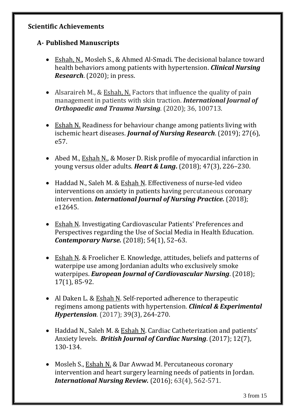#### **Scientific Achievements**

# **A- Published Manuscripts**

- Eshah, N., Mosleh S., & Ahmed Al-Smadi. The decisional balance toward health behaviors among patients with hypertension. *Clinical Nursing Research*. (2020); in press.
- Alsaraireh M., & Eshah, N. Factors that influence the quality of pain management in patients with skin traction. *International Journal of Orthopaedic and Trauma Nursing*. (2020); 36, 100713.
- Eshah N. Readiness for behaviour change among patients living with ischemic heart diseases. *Journal of Nursing Research*. (2019); 27(6), e57.
- Abed M., Eshah N., & Moser D. Risk profile of myocardial infarction in young versus older adults. *Heart & Lung***.** (2018); 47(3), 226–230.
- Haddad N., Saleh M. & Eshah N. Effectiveness of nurse-led video interventions on anxiety in patients having percutaneous coronary intervention. *International Journal of Nursing Practice.* (2018); e12645.
- Eshah N. Investigating Cardiovascular Patients' Preferences and Perspectives regarding the Use of Social Media in Health Education. *Contemporary Nurse.* (2018); 54(1), 52–63.
- Eshah N. & Froelicher E. Knowledge, attitudes, beliefs and patterns of waterpipe use among Jordanian adults who exclusively smoke waterpipes. *European Journal of Cardiovascular Nursing*. (2018); 17(1), 85-92.
- Al Daken L. & Eshah N. Self-reported adherence to therapeutic regimens among patients with hypertension. *Clinical & Experimental Hypertension*. (2017); 39(3), 264-270.
- Haddad N., Saleh M. & Eshah N. Cardiac Catheterization and patients' Anxiety levels. *British Journal of Cardiac Nursing*. (2017); 12(7), 130-134.
- Mosleh S., Eshah N. & Dar Awwad M. [Percutaneous coronary](https://www.researchgate.net/publication/308490551_Percutaneous_coronary_intervention_and_heart_surgery_learning_needs_of_patients_in_Jordan?ev=prf_pub)  [intervention and heart surgery learning needs of patients in Jordan.](https://www.researchgate.net/publication/308490551_Percutaneous_coronary_intervention_and_heart_surgery_learning_needs_of_patients_in_Jordan?ev=prf_pub) *International Nursing Review.* (2016); 63(4), 562-571.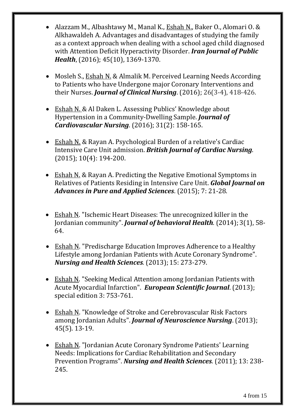- Alazzam M., Albashtawy M., Manal K., Eshah N., Baker O., Alomari O. & Alkhawaldeh A. Advantages and disadvantages of studying the family as a context approach when dealing with a school aged child diagnosed with Attention Deficit Hyperactivity Disorder. *Iran Journal of Public Health*, (2016); 45(10), 1369-1370.
- Mosleh S., Eshah N. & Almalik M. Perceived Learning Needs According to Patients who have Undergone major Coronary Interventions and their Nurses. *Journal of Clinical Nursing*. (2016); 26(3-4), 418-426.
- Eshah N. & Al Daken L. Assessing Publics' Knowledge about Hypertension in a Community-Dwelling Sample. *Journal of Cardiovascular Nursing*. (2016); 31(2): 158-165.
- Eshah N. & Rayan A. Psychological Burden of a relative's Cardiac Intensive Care Unit admission. *British Journal of Cardiac Nursing*. (2015); 10(4): 194-200.
- Eshah N. & Rayan A. Predicting the Negative Emotional Symptoms in Relatives of Patients Residing in Intensive Care Unit. *Global Journal on Advances in Pure and Applied Sciences*. (2015); 7: 21-28.
- Eshah N. "Ischemic Heart Diseases: The unrecognized killer in the Jordanian community". *Journal of behavioral Health.* (2014); 3(1), 58- 64.
- Eshah N. "Predischarge Education Improves Adherence to a Healthy Lifestyle among Jordanian Patients with Acute Coronary Syndrome". *Nursing and Health Sciences.* (2013); 15: 273-279.
- Eshah N. "Seeking Medical Attention among Jordanian Patients with Acute Myocardial Infarction". *European Scientific Journal*. (2013); special edition 3: 753-761.
- Eshah N. "Knowledge of Stroke and Cerebrovascular Risk Factors among Jordanian Adults". *Journal of Neuroscience Nursing*. (2013); 45(5). 13-19.
- Eshah N. "Jordanian Acute Coronary Syndrome Patients' Learning Needs: Implications for Cardiac Rehabilitation and Secondary Prevention Programs". *Nursing and Health Sciences.* (2011); 13: 238- 245.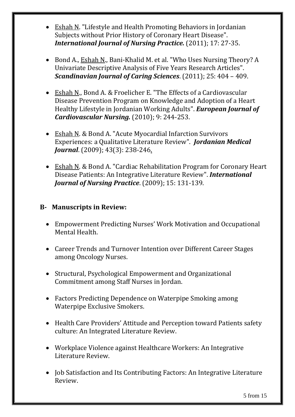- Eshah N. "Lifestyle and Health Promoting Behaviors in Jordanian Subjects without Prior History of Coronary Heart Disease". *International Journal of Nursing Practice.* (2011); 17: 27-35.
- Bond A., Eshah N., Bani-Khalid M. et al. "Who Uses Nursing Theory? A Univariate Descriptive Analysis of Five Years Research Articles". *Scandinavian Journal of Caring Sciences*. (2011); 25: 404 – 409.
- Eshah N., Bond A. & Froelicher E. "The Effects of a Cardiovascular Disease Prevention Program on Knowledge and Adoption of a Heart Healthy Lifestyle in Jordanian Working Adults". *European Journal of Cardiovascular Nursing.* (2010); 9: 244-253.
- Eshah N. & Bond A. "Acute Myocardial Infarction Survivors Experiences: a Qualitative Literature Review". *Jordanian Medical Journal*. (2009); 43(3): 238-246.
- Eshah N. & Bond A. "Cardiac Rehabilitation Program for Coronary Heart Disease Patients: An Integrative Literature Review". *International Journal of Nursing Practice*. (2009); 15: 131-139.

## **B- Manuscripts in Review:**

- Empowerment Predicting Nurses' Work Motivation and Occupational Mental Health.
- Career Trends and Turnover Intention over Different Career Stages among Oncology Nurses.
- Structural, Psychological Empowerment and Organizational Commitment among Staff Nurses in Jordan.
- Factors Predicting Dependence on Waterpipe Smoking among Waterpipe Exclusive Smokers.
- Health Care Providers' Attitude and Perception toward Patients safety culture: An Integrated Literature Review.
- Workplace Violence against Healthcare Workers: An Integrative Literature Review.
- Job Satisfaction and Its Contributing Factors: An Integrative Literature Review.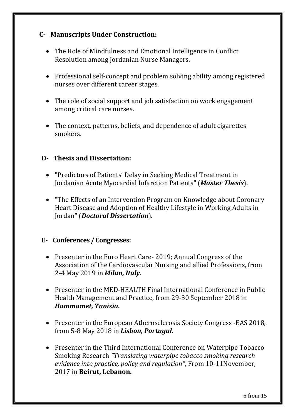# **C- Manuscripts Under Construction:**

- The Role of Mindfulness and Emotional Intelligence in Conflict Resolution among Jordanian Nurse Managers.
- Professional self-concept and problem solving ability among registered nurses over different career stages.
- The role of social support and job satisfaction on work engagement among critical care nurses.
- The context, patterns, beliefs, and dependence of adult cigarettes smokers.

#### **D- Thesis and Dissertation:**

- "Predictors of Patients' Delay in Seeking Medical Treatment in Jordanian Acute Myocardial Infarction Patients" (*Master Thesis*).
- "The Effects of an Intervention Program on Knowledge about Coronary Heart Disease and Adoption of Healthy Lifestyle in Working Adults in Jordan" (*Doctoral Dissertation*).

### **E- Conferences / Congresses:**

- Presenter in the Euro Heart Care- 2019; Annual Congress of the Association of the Cardiovascular Nursing and allied Professions, from 2-4 May 2019 in *Milan, Italy*.
- Presenter in the MED-HEALTH Final International Conference in Public Health Management and Practice, from 29-30 September 2018 in *Hammamet, Tunisia***.**
- Presenter in the European Atherosclerosis Society Congress EAS 2018, from 5-8 May 2018 in *Lisbon, Portugal*.
- Presenter in the Third International Conference on Waterpipe Tobacco Smoking Research *"Translating waterpipe tobacco smoking research evidence into practice, policy and regulation"*, From 10-11November, 2017 in **Beirut, Lebanon.**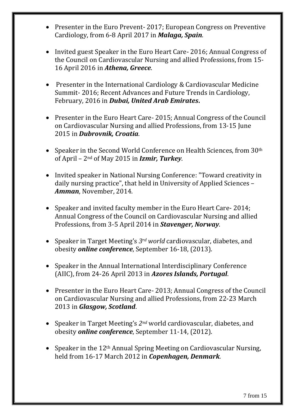- Presenter in the Euro Prevent- 2017; European Congress on Preventive Cardiology, from 6-8 April 2017 in *Malaga, Spain*.
- Invited guest Speaker in the Euro Heart Care- 2016; Annual Congress of the Council on Cardiovascular Nursing and allied Professions, from 15- 16 April 2016 in *Athena, Greece*.
- Presenter in the International Cardiology & Cardiovascular Medicine Summit- 2016; Recent Advances and Future Trends in Cardiology, February, 2016 in *Dubai, United Arab Emirates***.**
- Presenter in the Euro Heart Care- 2015; Annual Congress of the Council on Cardiovascular Nursing and allied Professions, from 13-15 June 2015 in *Dubrovnik, Croatia*.
- Speaker in the Second World Conference on Health Sciences, from 30<sup>th</sup> of April – 2nd of May 2015 in *Izmir, Turkey*.
- Invited speaker in National Nursing Conference: "Toward creativity in daily nursing practice", that held in University of Applied Sciences – *Amman*, November, 2014.
- Speaker and invited faculty member in the Euro Heart Care- 2014; Annual Congress of the Council on Cardiovascular Nursing and allied Professions, from 3-5 April 2014 in *Stavenger, Norway*.
- Speaker in Target Meeting's *3rd world* cardiovascular, diabetes, and obesity *online conference*, September 16-18, (2013).
- Speaker in the Annual International Interdisciplinary Conference (AIIC), from 24-26 April 2013 in *Azores Islands, Portugal*.
- Presenter in the Euro Heart Care- 2013; Annual Congress of the Council on Cardiovascular Nursing and allied Professions, from 22-23 March 2013 in *Glasgow, Scotland*.
- Speaker in Target Meeting's *2nd* world cardiovascular, diabetes, and obesity *online conference*, September 11-14, (2012).
- Speaker in the  $12<sup>th</sup>$  Annual Spring Meeting on Cardiovascular Nursing, held from 16-17 March 2012 in *Copenhagen, Denmark*.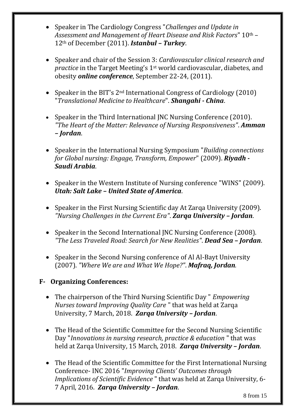- Speaker in The Cardiology Congress "*Challenges and Update in Assessment and Management of Heart Disease and Risk Factors*" 10th – 12th of December (2011). *Istanbul – Turkey*.
- Speaker and chair of the Session 3: *Cardiovascular clinical research and practice* in the Target Meeting's 1st world cardiovascular, diabetes, and obesity *online conference*, September 22-24, (2011).
- Speaker in the BIT's  $2^{nd}$  International Congress of Cardiology (2010) "*Translational Medicine to Healthcare*". *Shangahi - China*.
- Speaker in the Third International JNC Nursing Conference (2010). *"The Heart of the Matter: Relevance of Nursing Responsiveness"*. *Amman – Jordan*.
- Speaker in the International Nursing Symposium "*Building connections for Global nursing: Engage, Transform, Empower*" (2009). *Riyadh - Saudi Arabia*.
- Speaker in the Western Institute of Nursing conference "WINS" (2009). *Utah: Salt Lake – United State of America*.
- Speaker in the First Nursing Scientific day At Zarqa University (2009). *"Nursing Challenges in the Current Era"*. *Zarqa University – Jordan*.
- Speaker in the Second International JNC Nursing Conference (2008). *"The Less Traveled Road: Search for New Realities"*. *Dead Sea – Jordan*.
- Speaker in the Second Nursing conference of Al Al-Bayt University (2007). *"Where We are and What We Hope?"*. *Mafraq, Jordan.*
- **F- Organizing Conferences:** 
	- The chairperson of the Third Nursing Scientific Day " *Empowering Nurses toward Improving Quality Care* " that was held at Zarqa University, 7 March, 2018. *Zarqa University – Jordan*.
	- The Head of the Scientific Committee for the Second Nursing Scientific Day "*Innovations in nursing research, practice & education* " that was held at Zarqa University, 15 March, 2018. *Zarqa University – Jordan*.
	- The Head of the Scientific Committee for the First International Nursing Conference- INC 2016 "*Improving Clients' Outcomes through Implications of Scientific Evidence* " that was held at Zarqa University, 6- 7 April, 2016. *Zarqa University – Jordan*.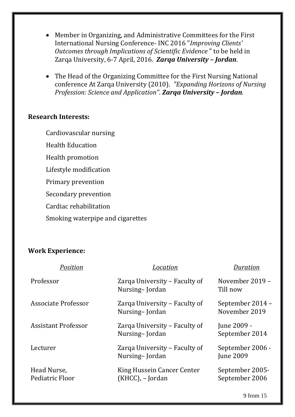- Member in Organizing, and Administrative Committees for the First International Nursing Conference- INC 2016 "*Improving Clients' Outcomes through Implications of Scientific Evidence* " to be held in Zarqa University, 6-7 April, 2016. *Zarqa University – Jordan*.
- The Head of the Organizing Committee for the First Nursing National conference At Zarqa University (2010). *"Expanding Horizons of Nursing Profession: Science and Application"*. *Zarqa University – Jordan*.

#### **Research Interests:**

Cardiovascular nursing

Health Education

Health promotion

Lifestyle modification

Primary prevention

Secondary prevention

Cardiac rehabilitation

Smoking waterpipe and cigarettes

#### **Work Experience:**

| Position                       | Location                                        | Duration                             |
|--------------------------------|-------------------------------------------------|--------------------------------------|
| Professor                      | Zarqa University – Faculty of<br>Nursing-Jordan | November 2019 -<br>Till now          |
| Associate Professor            | Zarga University – Faculty of<br>Nursing-Jordan | September 2014 -<br>November 2019    |
| <b>Assistant Professor</b>     | Zarga University – Faculty of<br>Nursing-Jordan | June 2009 -<br>September 2014        |
| Lecturer                       | Zarqa University – Faculty of<br>Nursing-Jordan | September 2006 -<br><b>June 2009</b> |
| Head Nurse,<br>Pediatric Floor | King Hussein Cancer Center<br>(KHCC), - Jordan  | September 2005-<br>September 2006    |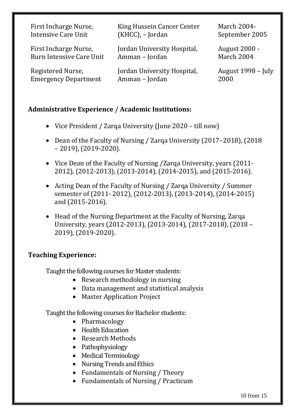| First Incharge Nurse,           | King Hussein Cancer Center  | <b>March 2004-</b> |
|---------------------------------|-----------------------------|--------------------|
| <b>Intensive Care Unit</b>      | (KHCC), - Jordan            | September 2005     |
| First Incharge Nurse,           | Jordan University Hospital, | August 2000 -      |
| <b>Burn Intensive Care Unit</b> | Amman - Jordan              | March 2004         |
| Registered Nurse,               | Jordan University Hospital, | August 1998 – July |
| <b>Emergency Department</b>     | Amman - Jordan              | 2000               |

#### **Administrative Experience / Academic Institutions:**

- Vice President / Zarqa University (June 2020 till now)
- Dean of the Faculty of Nursing / Zarqa University (2017–2018), (2018) – 2019), (2019-2020).
- Vice Dean of the Faculty of Nursing /Zarqa University, years (2011-2012), (2012-2013), (2013-2014), (2014-2015), and (2015-2016).
- Acting Dean of the Faculty of Nursing / Zarqa University / Summer semester of (2011- 2012), (2012-2013), (2013-2014), (2014-2015) and (2015-2016).
- Head of the Nursing Department at the Faculty of Nursing, Zarqa University, years (2012-2013), (2013-2014), (2017-2018), (2018 – 2019), (2019-2020).

### **Teaching Experience:**

Taught the following courses for Master students:

- Research methodology in nursing
- Data management and statistical analysis
- Master Application Project

Taught the following courses for Bachelor students:

- Pharmacology
- Health Education
- Research Methods
- Pathophysiology
- Medical Terminology
- Nursing Trends and Ethics
- Fundamentals of Nursing / Theory
- Fundamentals of Nursing / Practicum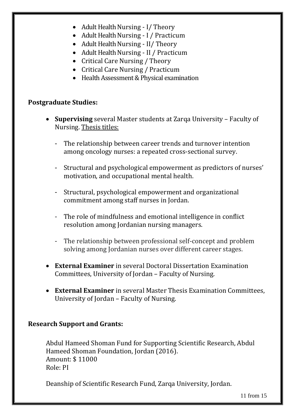- Adult Health Nursing I/ Theory
- Adult Health Nursing I / Practicum
- Adult Health Nursing II/ Theory
- Adult Health Nursing II / Practicum
- Critical Care Nursing / Theory
- Critical Care Nursing / Practicum
- Health Assessment & Physical examination

#### **Postgraduate Studies:**

- **Supervising** several Master students at Zarqa University Faculty of Nursing. Thesis titles:
	- The relationship between career trends and turnover intention among oncology nurses: a repeated cross-sectional survey.
	- Structural and psychological empowerment as predictors of nurses' motivation, and occupational mental health.
	- Structural, psychological empowerment and organizational commitment among staff nurses in Jordan.
	- The role of mindfulness and emotional intelligence in conflict resolution among Jordanian nursing managers.
	- The relationship between professional self-concept and problem solving among Jordanian nurses over different career stages.
- **External Examiner** in several Doctoral Dissertation Examination Committees, University of Jordan – Faculty of Nursing.
- **External Examiner** in several Master Thesis Examination Committees, University of Jordan – Faculty of Nursing.

### **Research Support and Grants:**

Abdul Hameed Shoman Fund for Supporting Scientific Research, Abdul Hameed Shoman Foundation, Jordan (2016). Amount: \$ 11000 Role: PI

Deanship of Scientific Research Fund, Zarqa University, Jordan.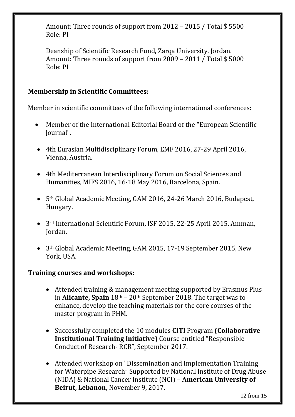Amount: Three rounds of support from 2012 – 2015 / Total \$ 5500 Role: PI

Deanship of Scientific Research Fund, Zarqa University, Jordan. Amount: Three rounds of support from 2009 – 2011 / Total \$ 5000 Role: PI

# **Membership in Scientific Committees:**

Member in scientific committees of the following international conferences:

- Member of the International Editorial Board of the "European Scientific Journal".
- 4th Eurasian Multidisciplinary Forum, EMF 2016, 27-29 April 2016, Vienna, Austria.
- 4th Mediterranean Interdisciplinary Forum on Social Sciences and Humanities, MIFS 2016, 16-18 May 2016, Barcelona, Spain.
- 5th Global Academic Meeting, GAM 2016, 24-26 March 2016, Budapest, Hungary.
- 3rd International Scientific Forum, ISF 2015, 22-25 April 2015, Amman, Jordan.
- 3th Global Academic Meeting, GAM 2015, 17-19 September 2015, New York, USA.

### **Training courses and workshops:**

- Attended training & management meeting supported by Erasmus Plus in **Alicante, Spain** 18th – 20th September 2018. The target was to enhance, develop the teaching materials for the core courses of the master program in PHM.
- Successfully completed the 10 modules **CITI** Program **(Collaborative Institutional Training Initiative)** Course entitled "Responsible Conduct of Research- RCR", September 2017.
- Attended workshop on "Dissemination and Implementation Training for Waterpipe Research" Supported by National Institute of Drug Abuse (NIDA) & National Cancer Institute (NCI) – **American University of Beirut, Lebanon,** November 9, 2017.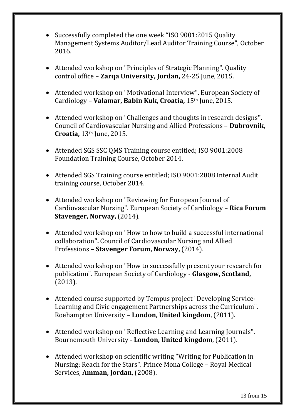- Successfully completed the one week "ISO 9001:2015 Quality Management Systems Auditor/Lead Auditor Training Course", October 2016.
- Attended workshop on "Principles of Strategic Planning". Quality control office – **Zarqa University, Jordan,** 24-25 June, 2015.
- Attended workshop on "Motivational Interview". European Society of Cardiology – **Valamar, Babin Kuk, Croatia,** 15th June, 2015.
- Attended workshop on "Challenges and thoughts in research designs**".** Council of Cardiovascular Nursing and Allied Professions – **Dubrovnik, Croatia,** 13th June, 2015.
- Attended SGS SSC QMS Training course entitled; ISO 9001:2008 Foundation Training Course, October 2014.
- Attended SGS Training course entitled; ISO 9001:2008 Internal Audit training course, October 2014.
- Attended workshop on "Reviewing for European Journal of Cardiovascular Nursing". European Society of Cardiology – **Rica Forum Stavenger, Norway,** (2014).
- Attended workshop on "How to how to build a successful international collaboration**".** Council of Cardiovascular Nursing and Allied Professions – **Stavenger Forum, Norway,** (2014).
- Attended workshop on "How to successfully present your research for publication". European Society of Cardiology - **Glasgow, Scotland,** (2013).
- Attended course supported by Tempus project "Developing Service-Learning and Civic engagement Partnerships across the Curriculum". Roehampton University – **London, United kingdom**, (2011).
- Attended workshop on "Reflective Learning and Learning Journals". Bournemouth University - **London, United kingdom**, (2011).
- Attended workshop on scientific writing "Writing for Publication in Nursing: Reach for the Stars". Prince Mona College – Royal Medical Services, **Amman, Jordan**, (2008).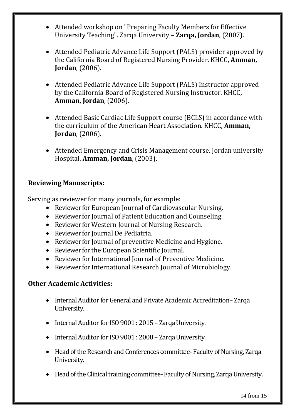- Attended workshop on "Preparing Faculty Members for Effective University Teaching". Zarqa University – **Zarqa, Jordan**, (2007).
- Attended Pediatric Advance Life Support (PALS) provider approved by the California Board of Registered Nursing Provider. KHCC, **Amman, Jordan**, (2006).
- Attended Pediatric Advance Life Support (PALS) Instructor approved by the California Board of Registered Nursing Instructor. KHCC, **Amman, Jordan**, (2006).
- Attended Basic Cardiac Life Support course (BCLS) in accordance with the curriculum of the American Heart Association. KHCC, **Amman, Jordan**, (2006).
- Attended Emergency and Crisis Management course. Jordan university Hospital. **Amman, Jordan**, (2003).

# **Reviewing Manuscripts:**

Serving as reviewer for many journals, for example:

- Reviewer for European Journal of Cardiovascular Nursing.
- Reviewer for Journal of Patient Education and Counseling.
- Reviewer for Western Journal of Nursing Research.
- Reviewer for Journal De Pediatria.
- Reviewer for Journal of preventive Medicine and Hygiene**.**
- Reviewer for the European Scientific Journal.
- Reviewer for International Journal of Preventive Medicine.
- Reviewer for International Research Journal of Microbiology.

# **Other Academic Activities:**

- Internal Auditor for General and Private Academic Accreditation–Zarqa University.
- Internal Auditor for ISO 9001 : 2015 Zarqa University.
- Internal Auditor for ISO 9001 : 2008 Zarqa University.
- Head of the Research and Conferences committee- Faculty of Nursing, Zarqa University.
- Head of the Clinical training committee- Faculty of Nursing, Zarqa University.